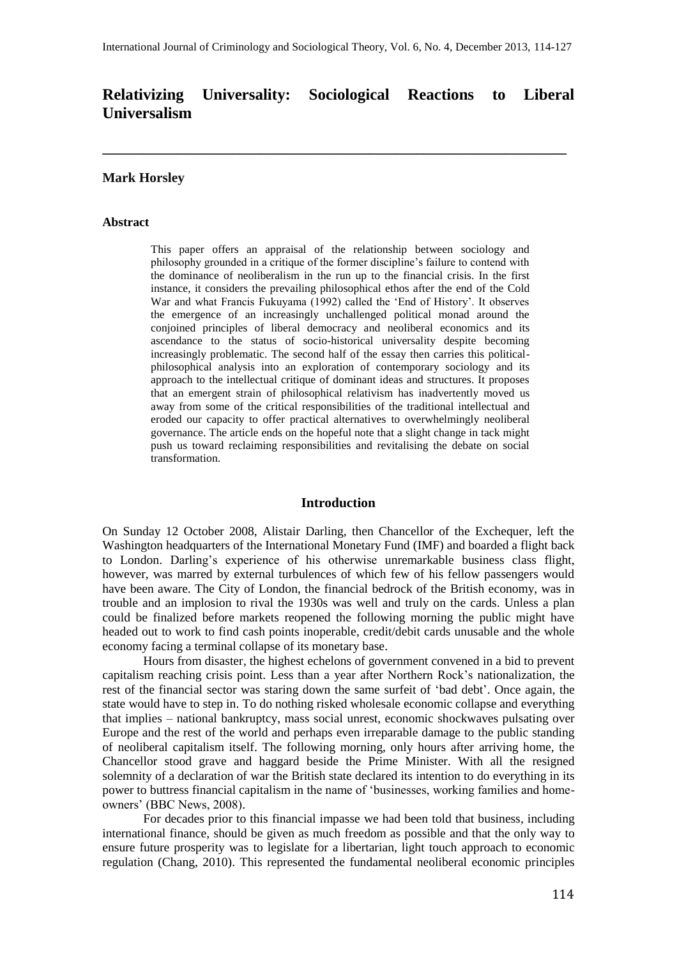# **Relativizing Universality: Sociological Reactions to Liberal Universalism**

**\_\_\_\_\_\_\_\_\_\_\_\_\_\_\_\_\_\_\_\_\_\_\_\_\_\_\_\_\_\_\_\_\_\_\_\_\_\_\_\_\_\_\_\_\_\_\_\_\_\_\_\_\_\_\_\_\_\_\_\_\_\_\_\_\_\_\_\_**

### **Mark Horsley**

### **Abstract**

This paper offers an appraisal of the relationship between sociology and philosophy grounded in a critique of the former discipline's failure to contend with the dominance of neoliberalism in the run up to the financial crisis. In the first instance, it considers the prevailing philosophical ethos after the end of the Cold War and what Francis Fukuyama (1992) called the 'End of History'. It observes the emergence of an increasingly unchallenged political monad around the conjoined principles of liberal democracy and neoliberal economics and its ascendance to the status of socio-historical universality despite becoming increasingly problematic. The second half of the essay then carries this politicalphilosophical analysis into an exploration of contemporary sociology and its approach to the intellectual critique of dominant ideas and structures. It proposes that an emergent strain of philosophical relativism has inadvertently moved us away from some of the critical responsibilities of the traditional intellectual and eroded our capacity to offer practical alternatives to overwhelmingly neoliberal governance. The article ends on the hopeful note that a slight change in tack might push us toward reclaiming responsibilities and revitalising the debate on social transformation.

### **Introduction**

On Sunday 12 October 2008, Alistair Darling, then Chancellor of the Exchequer, left the Washington headquarters of the International Monetary Fund (IMF) and boarded a flight back to London. Darling's experience of his otherwise unremarkable business class flight, however, was marred by external turbulences of which few of his fellow passengers would have been aware. The City of London, the financial bedrock of the British economy, was in trouble and an implosion to rival the 1930s was well and truly on the cards. Unless a plan could be finalized before markets reopened the following morning the public might have headed out to work to find cash points inoperable, credit/debit cards unusable and the whole economy facing a terminal collapse of its monetary base.

Hours from disaster, the highest echelons of government convened in a bid to prevent capitalism reaching crisis point. Less than a year after Northern Rock's nationalization, the rest of the financial sector was staring down the same surfeit of 'bad debt'. Once again, the state would have to step in. To do nothing risked wholesale economic collapse and everything that implies – national bankruptcy, mass social unrest, economic shockwaves pulsating over Europe and the rest of the world and perhaps even irreparable damage to the public standing of neoliberal capitalism itself. The following morning, only hours after arriving home, the Chancellor stood grave and haggard beside the Prime Minister. With all the resigned solemnity of a declaration of war the British state declared its intention to do everything in its power to buttress financial capitalism in the name of 'businesses, working families and homeowners' (BBC News, 2008).

For decades prior to this financial impasse we had been told that business, including international finance, should be given as much freedom as possible and that the only way to ensure future prosperity was to legislate for a libertarian, light touch approach to economic regulation (Chang, 2010). This represented the fundamental neoliberal economic principles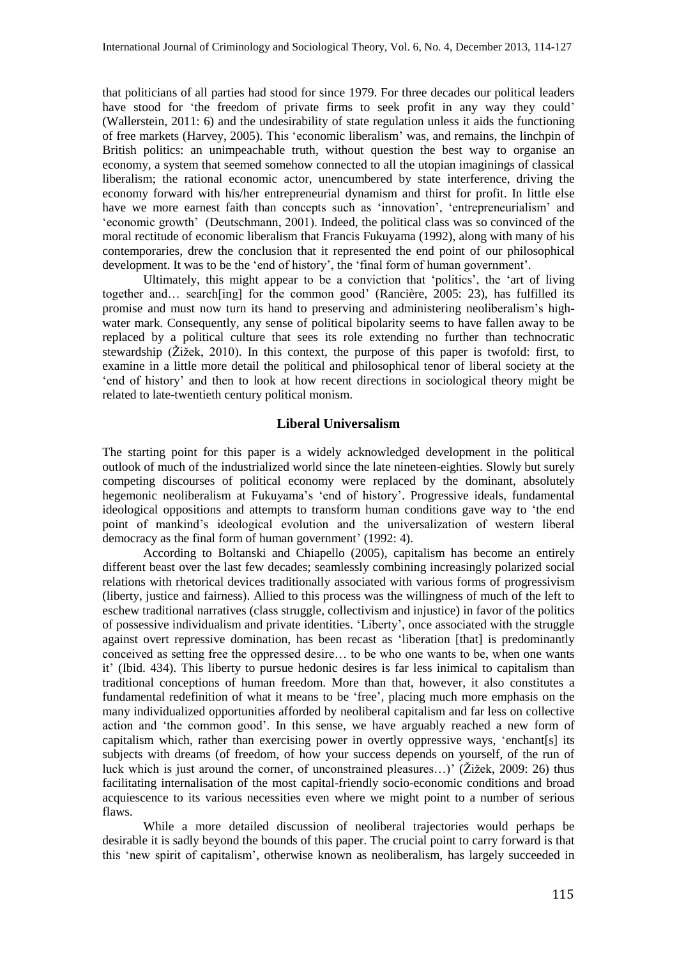that politicians of all parties had stood for since 1979. For three decades our political leaders have stood for 'the freedom of private firms to seek profit in any way they could' (Wallerstein, 2011: 6) and the undesirability of state regulation unless it aids the functioning of free markets (Harvey, 2005). This 'economic liberalism' was, and remains, the linchpin of British politics: an unimpeachable truth, without question the best way to organise an economy, a system that seemed somehow connected to all the utopian imaginings of classical liberalism; the rational economic actor, unencumbered by state interference, driving the economy forward with his/her entrepreneurial dynamism and thirst for profit. In little else have we more earnest faith than concepts such as 'innovation', 'entrepreneurialism' and 'economic growth' (Deutschmann, 2001). Indeed, the political class was so convinced of the moral rectitude of economic liberalism that Francis Fukuyama (1992), along with many of his contemporaries, drew the conclusion that it represented the end point of our philosophical development. It was to be the 'end of history', the 'final form of human government'.

Ultimately, this might appear to be a conviction that 'politics', the 'art of living together and… search[ing] for the common good' (Rancière, 2005: 23), has fulfilled its promise and must now turn its hand to preserving and administering neoliberalism's highwater mark. Consequently, any sense of political bipolarity seems to have fallen away to be replaced by a political culture that sees its role extending no further than technocratic stewardship (Žižek, 2010). In this context, the purpose of this paper is twofold: first, to examine in a little more detail the political and philosophical tenor of liberal society at the 'end of history' and then to look at how recent directions in sociological theory might be related to late-twentieth century political monism.

## **Liberal Universalism**

The starting point for this paper is a widely acknowledged development in the political outlook of much of the industrialized world since the late nineteen-eighties. Slowly but surely competing discourses of political economy were replaced by the dominant, absolutely hegemonic neoliberalism at Fukuyama's 'end of history'. Progressive ideals, fundamental ideological oppositions and attempts to transform human conditions gave way to 'the end point of mankind's ideological evolution and the universalization of western liberal democracy as the final form of human government' (1992: 4).

According to Boltanski and Chiapello (2005), capitalism has become an entirely different beast over the last few decades; seamlessly combining increasingly polarized social relations with rhetorical devices traditionally associated with various forms of progressivism (liberty, justice and fairness). Allied to this process was the willingness of much of the left to eschew traditional narratives (class struggle, collectivism and injustice) in favor of the politics of possessive individualism and private identities. 'Liberty', once associated with the struggle against overt repressive domination, has been recast as 'liberation [that] is predominantly conceived as setting free the oppressed desire… to be who one wants to be, when one wants it' (Ibid. 434). This liberty to pursue hedonic desires is far less inimical to capitalism than traditional conceptions of human freedom. More than that, however, it also constitutes a fundamental redefinition of what it means to be 'free', placing much more emphasis on the many individualized opportunities afforded by neoliberal capitalism and far less on collective action and 'the common good'. In this sense, we have arguably reached a new form of capitalism which, rather than exercising power in overtly oppressive ways, 'enchant[s] its subjects with dreams (of freedom, of how your success depends on yourself, of the run of luck which is just around the corner, of unconstrained pleasures…)' (Žižek, 2009: 26) thus facilitating internalisation of the most capital-friendly socio-economic conditions and broad acquiescence to its various necessities even where we might point to a number of serious flaws.

While a more detailed discussion of neoliberal trajectories would perhaps be desirable it is sadly beyond the bounds of this paper. The crucial point to carry forward is that this 'new spirit of capitalism', otherwise known as neoliberalism, has largely succeeded in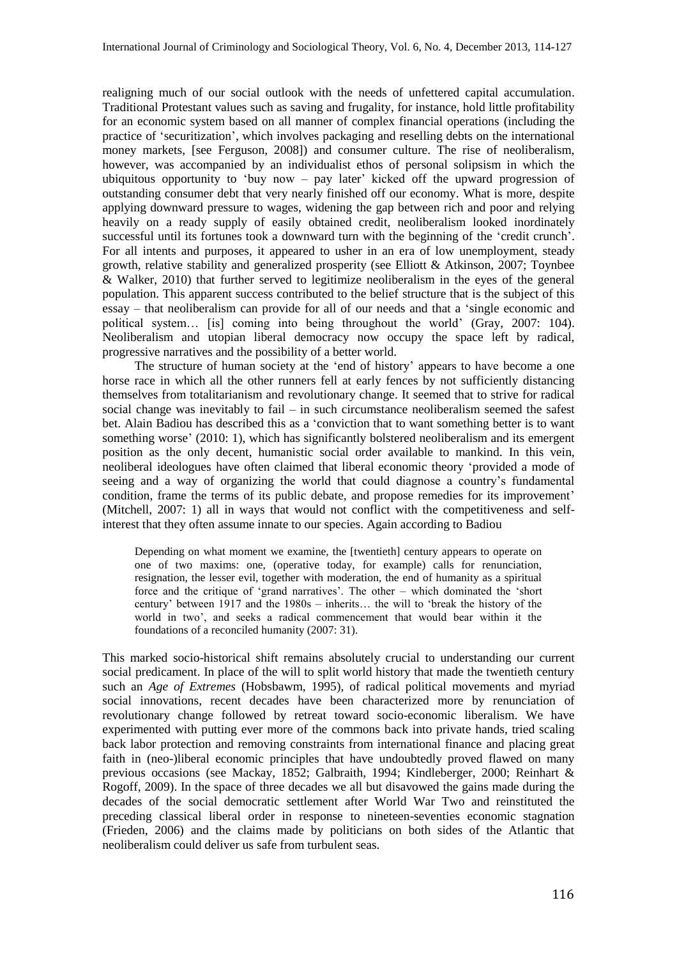realigning much of our social outlook with the needs of unfettered capital accumulation. Traditional Protestant values such as saving and frugality, for instance, hold little profitability for an economic system based on all manner of complex financial operations (including the practice of 'securitization', which involves packaging and reselling debts on the international money markets, [see Ferguson, 2008]) and consumer culture. The rise of neoliberalism, however, was accompanied by an individualist ethos of personal solipsism in which the ubiquitous opportunity to 'buy now – pay later' kicked off the upward progression of outstanding consumer debt that very nearly finished off our economy. What is more, despite applying downward pressure to wages, widening the gap between rich and poor and relying heavily on a ready supply of easily obtained credit, neoliberalism looked inordinately successful until its fortunes took a downward turn with the beginning of the 'credit crunch'. For all intents and purposes, it appeared to usher in an era of low unemployment, steady growth, relative stability and generalized prosperity (see Elliott & Atkinson, 2007; Toynbee & Walker, 2010) that further served to legitimize neoliberalism in the eyes of the general population. This apparent success contributed to the belief structure that is the subject of this essay – that neoliberalism can provide for all of our needs and that a 'single economic and political system… [is] coming into being throughout the world' (Gray, 2007: 104). Neoliberalism and utopian liberal democracy now occupy the space left by radical, progressive narratives and the possibility of a better world.

The structure of human society at the 'end of history' appears to have become a one horse race in which all the other runners fell at early fences by not sufficiently distancing themselves from totalitarianism and revolutionary change. It seemed that to strive for radical social change was inevitably to fail – in such circumstance neoliberalism seemed the safest bet. Alain Badiou has described this as a 'conviction that to want something better is to want something worse' (2010: 1), which has significantly bolstered neoliberalism and its emergent position as the only decent, humanistic social order available to mankind. In this vein, neoliberal ideologues have often claimed that liberal economic theory 'provided a mode of seeing and a way of organizing the world that could diagnose a country's fundamental condition, frame the terms of its public debate, and propose remedies for its improvement' (Mitchell, 2007: 1) all in ways that would not conflict with the competitiveness and selfinterest that they often assume innate to our species. Again according to Badiou

Depending on what moment we examine, the [twentieth] century appears to operate on one of two maxims: one, (operative today, for example) calls for renunciation, resignation, the lesser evil, together with moderation, the end of humanity as a spiritual force and the critique of 'grand narratives'. The other – which dominated the 'short century' between 1917 and the 1980s – inherits… the will to 'break the history of the world in two', and seeks a radical commencement that would bear within it the foundations of a reconciled humanity (2007: 31).

This marked socio-historical shift remains absolutely crucial to understanding our current social predicament. In place of the will to split world history that made the twentieth century such an *Age of Extremes* (Hobsbawm, 1995), of radical political movements and myriad social innovations, recent decades have been characterized more by renunciation of revolutionary change followed by retreat toward socio-economic liberalism. We have experimented with putting ever more of the commons back into private hands, tried scaling back labor protection and removing constraints from international finance and placing great faith in (neo-)liberal economic principles that have undoubtedly proved flawed on many previous occasions (see Mackay, 1852; Galbraith, 1994; Kindleberger, 2000; Reinhart & Rogoff, 2009). In the space of three decades we all but disavowed the gains made during the decades of the social democratic settlement after World War Two and reinstituted the preceding classical liberal order in response to nineteen-seventies economic stagnation (Frieden, 2006) and the claims made by politicians on both sides of the Atlantic that neoliberalism could deliver us safe from turbulent seas.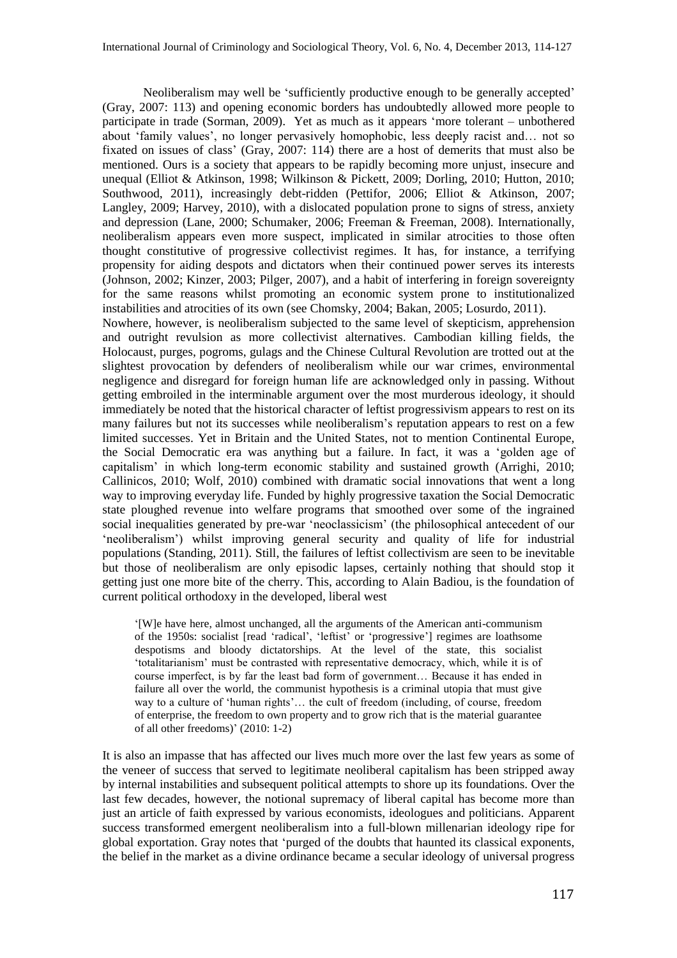Neoliberalism may well be 'sufficiently productive enough to be generally accepted' (Gray, 2007: 113) and opening economic borders has undoubtedly allowed more people to participate in trade (Sorman, 2009). Yet as much as it appears 'more tolerant – unbothered about 'family values', no longer pervasively homophobic, less deeply racist and… not so fixated on issues of class' (Gray, 2007: 114) there are a host of demerits that must also be mentioned. Ours is a society that appears to be rapidly becoming more unjust, insecure and unequal (Elliot & Atkinson, 1998; Wilkinson & Pickett, 2009; Dorling, 2010; Hutton, 2010; Southwood, 2011), increasingly debt-ridden (Pettifor, 2006; Elliot & Atkinson, 2007; Langley, 2009; Harvey, 2010), with a dislocated population prone to signs of stress, anxiety and depression (Lane, 2000; Schumaker, 2006; Freeman & Freeman, 2008). Internationally, neoliberalism appears even more suspect, implicated in similar atrocities to those often thought constitutive of progressive collectivist regimes. It has, for instance, a terrifying propensity for aiding despots and dictators when their continued power serves its interests (Johnson, 2002; Kinzer, 2003; Pilger, 2007), and a habit of interfering in foreign sovereignty for the same reasons whilst promoting an economic system prone to institutionalized instabilities and atrocities of its own (see Chomsky, 2004; Bakan, 2005; Losurdo, 2011). Nowhere, however, is neoliberalism subjected to the same level of skepticism, apprehension and outright revulsion as more collectivist alternatives. Cambodian killing fields, the Holocaust, purges, pogroms, gulags and the Chinese Cultural Revolution are trotted out at the slightest provocation by defenders of neoliberalism while our war crimes, environmental negligence and disregard for foreign human life are acknowledged only in passing. Without getting embroiled in the interminable argument over the most murderous ideology, it should immediately be noted that the historical character of leftist progressivism appears to rest on its many failures but not its successes while neoliberalism's reputation appears to rest on a few limited successes. Yet in Britain and the United States, not to mention Continental Europe, the Social Democratic era was anything but a failure. In fact, it was a 'golden age of capitalism' in which long-term economic stability and sustained growth (Arrighi, 2010; Callinicos, 2010; Wolf, 2010) combined with dramatic social innovations that went a long way to improving everyday life. Funded by highly progressive taxation the Social Democratic state ploughed revenue into welfare programs that smoothed over some of the ingrained social inequalities generated by pre-war 'neoclassicism' (the philosophical antecedent of our 'neoliberalism') whilst improving general security and quality of life for industrial populations (Standing, 2011). Still, the failures of leftist collectivism are seen to be inevitable but those of neoliberalism are only episodic lapses, certainly nothing that should stop it getting just one more bite of the cherry. This, according to Alain Badiou, is the foundation of

'[W]e have here, almost unchanged, all the arguments of the American anti-communism of the 1950s: socialist [read 'radical', 'leftist' or 'progressive'] regimes are loathsome despotisms and bloody dictatorships. At the level of the state, this socialist 'totalitarianism' must be contrasted with representative democracy, which, while it is of course imperfect, is by far the least bad form of government… Because it has ended in failure all over the world, the communist hypothesis is a criminal utopia that must give way to a culture of 'human rights'… the cult of freedom (including, of course, freedom of enterprise, the freedom to own property and to grow rich that is the material guarantee of all other freedoms)' (2010: 1-2)

current political orthodoxy in the developed, liberal west

It is also an impasse that has affected our lives much more over the last few years as some of the veneer of success that served to legitimate neoliberal capitalism has been stripped away by internal instabilities and subsequent political attempts to shore up its foundations. Over the last few decades, however, the notional supremacy of liberal capital has become more than just an article of faith expressed by various economists, ideologues and politicians. Apparent success transformed emergent neoliberalism into a full-blown millenarian ideology ripe for global exportation. Gray notes that 'purged of the doubts that haunted its classical exponents, the belief in the market as a divine ordinance became a secular ideology of universal progress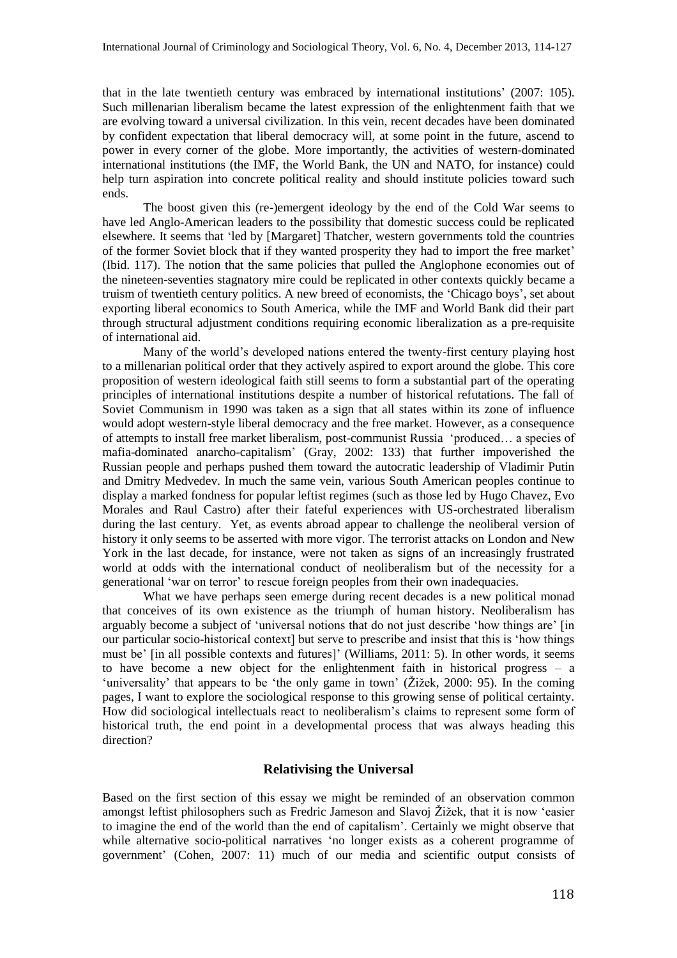that in the late twentieth century was embraced by international institutions' (2007: 105). Such millenarian liberalism became the latest expression of the enlightenment faith that we are evolving toward a universal civilization. In this vein, recent decades have been dominated by confident expectation that liberal democracy will, at some point in the future, ascend to power in every corner of the globe. More importantly, the activities of western-dominated international institutions (the IMF, the World Bank, the UN and NATO, for instance) could help turn aspiration into concrete political reality and should institute policies toward such ends.

The boost given this (re-)emergent ideology by the end of the Cold War seems to have led Anglo-American leaders to the possibility that domestic success could be replicated elsewhere. It seems that 'led by [Margaret] Thatcher, western governments told the countries of the former Soviet block that if they wanted prosperity they had to import the free market' (Ibid. 117). The notion that the same policies that pulled the Anglophone economies out of the nineteen-seventies stagnatory mire could be replicated in other contexts quickly became a truism of twentieth century politics. A new breed of economists, the 'Chicago boys', set about exporting liberal economics to South America, while the IMF and World Bank did their part through structural adjustment conditions requiring economic liberalization as a pre-requisite of international aid.

Many of the world's developed nations entered the twenty-first century playing host to a millenarian political order that they actively aspired to export around the globe. This core proposition of western ideological faith still seems to form a substantial part of the operating principles of international institutions despite a number of historical refutations. The fall of Soviet Communism in 1990 was taken as a sign that all states within its zone of influence would adopt western-style liberal democracy and the free market. However, as a consequence of attempts to install free market liberalism, post-communist Russia 'produced… a species of mafia-dominated anarcho-capitalism' (Gray, 2002: 133) that further impoverished the Russian people and perhaps pushed them toward the autocratic leadership of Vladimir Putin and Dmitry Medvedev. In much the same vein, various South American peoples continue to display a marked fondness for popular leftist regimes (such as those led by Hugo Chavez, Evo Morales and Raul Castro) after their fateful experiences with US-orchestrated liberalism during the last century. Yet, as events abroad appear to challenge the neoliberal version of history it only seems to be asserted with more vigor. The terrorist attacks on London and New York in the last decade, for instance, were not taken as signs of an increasingly frustrated world at odds with the international conduct of neoliberalism but of the necessity for a generational 'war on terror' to rescue foreign peoples from their own inadequacies.

What we have perhaps seen emerge during recent decades is a new political monad that conceives of its own existence as the triumph of human history. Neoliberalism has arguably become a subject of 'universal notions that do not just describe 'how things are' [in our particular socio-historical context] but serve to prescribe and insist that this is 'how things must be' [in all possible contexts and futures]' (Williams, 2011: 5). In other words, it seems to have become a new object for the enlightenment faith in historical progress – a 'universality' that appears to be 'the only game in town' (Žižek, 2000: 95). In the coming pages, I want to explore the sociological response to this growing sense of political certainty. How did sociological intellectuals react to neoliberalism's claims to represent some form of historical truth, the end point in a developmental process that was always heading this direction?

## **Relativising the Universal**

Based on the first section of this essay we might be reminded of an observation common amongst leftist philosophers such as Fredric Jameson and Slavoj Žižek, that it is now 'easier to imagine the end of the world than the end of capitalism'. Certainly we might observe that while alternative socio-political narratives 'no longer exists as a coherent programme of government' (Cohen, 2007: 11) much of our media and scientific output consists of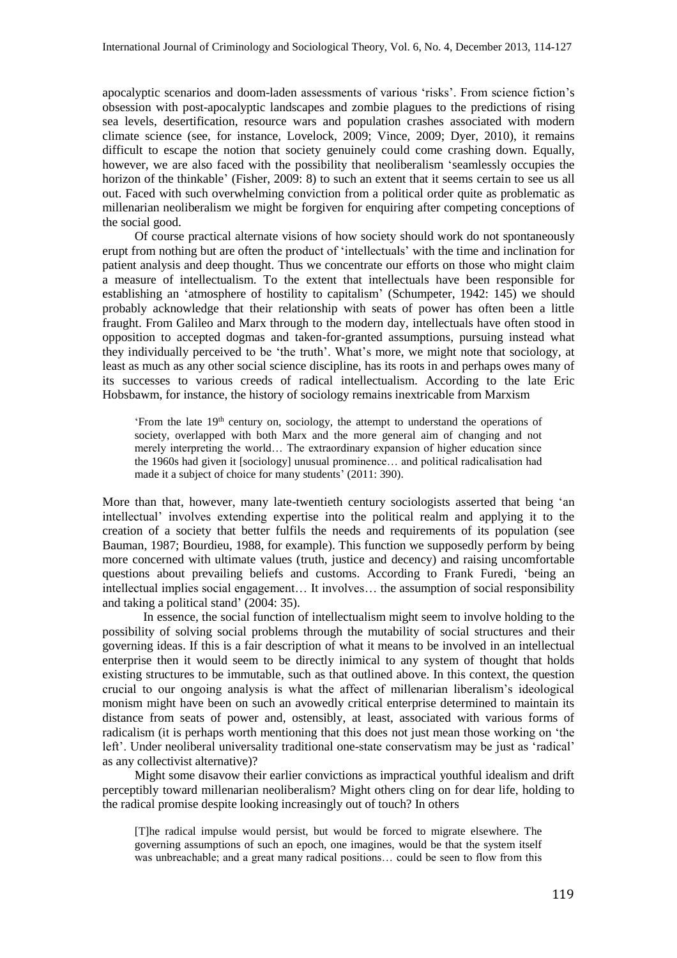apocalyptic scenarios and doom-laden assessments of various 'risks'. From science fiction's obsession with post-apocalyptic landscapes and zombie plagues to the predictions of rising sea levels, desertification, resource wars and population crashes associated with modern climate science (see, for instance, Lovelock, 2009; Vince, 2009; Dyer, 2010), it remains difficult to escape the notion that society genuinely could come crashing down. Equally, however, we are also faced with the possibility that neoliberalism 'seamlessly occupies the horizon of the thinkable' (Fisher, 2009: 8) to such an extent that it seems certain to see us all out. Faced with such overwhelming conviction from a political order quite as problematic as millenarian neoliberalism we might be forgiven for enquiring after competing conceptions of the social good.

Of course practical alternate visions of how society should work do not spontaneously erupt from nothing but are often the product of 'intellectuals' with the time and inclination for patient analysis and deep thought. Thus we concentrate our efforts on those who might claim a measure of intellectualism. To the extent that intellectuals have been responsible for establishing an 'atmosphere of hostility to capitalism' (Schumpeter, 1942: 145) we should probably acknowledge that their relationship with seats of power has often been a little fraught. From Galileo and Marx through to the modern day, intellectuals have often stood in opposition to accepted dogmas and taken-for-granted assumptions, pursuing instead what they individually perceived to be 'the truth'. What's more, we might note that sociology, at least as much as any other social science discipline, has its roots in and perhaps owes many of its successes to various creeds of radical intellectualism. According to the late Eric Hobsbawm, for instance, the history of sociology remains inextricable from Marxism

'From the late 19th century on, sociology, the attempt to understand the operations of society, overlapped with both Marx and the more general aim of changing and not merely interpreting the world… The extraordinary expansion of higher education since the 1960s had given it [sociology] unusual prominence… and political radicalisation had made it a subject of choice for many students' (2011: 390).

More than that, however, many late-twentieth century sociologists asserted that being 'an intellectual' involves extending expertise into the political realm and applying it to the creation of a society that better fulfils the needs and requirements of its population (see Bauman, 1987; Bourdieu, 1988, for example). This function we supposedly perform by being more concerned with ultimate values (truth, justice and decency) and raising uncomfortable questions about prevailing beliefs and customs. According to Frank Furedi, 'being an intellectual implies social engagement… It involves… the assumption of social responsibility and taking a political stand' (2004: 35).

In essence, the social function of intellectualism might seem to involve holding to the possibility of solving social problems through the mutability of social structures and their governing ideas. If this is a fair description of what it means to be involved in an intellectual enterprise then it would seem to be directly inimical to any system of thought that holds existing structures to be immutable, such as that outlined above. In this context, the question crucial to our ongoing analysis is what the affect of millenarian liberalism's ideological monism might have been on such an avowedly critical enterprise determined to maintain its distance from seats of power and, ostensibly, at least, associated with various forms of radicalism (it is perhaps worth mentioning that this does not just mean those working on 'the left'. Under neoliberal universality traditional one-state conservatism may be just as 'radical' as any collectivist alternative)?

Might some disavow their earlier convictions as impractical youthful idealism and drift perceptibly toward millenarian neoliberalism? Might others cling on for dear life, holding to the radical promise despite looking increasingly out of touch? In others

[T]he radical impulse would persist, but would be forced to migrate elsewhere. The governing assumptions of such an epoch, one imagines, would be that the system itself was unbreachable; and a great many radical positions… could be seen to flow from this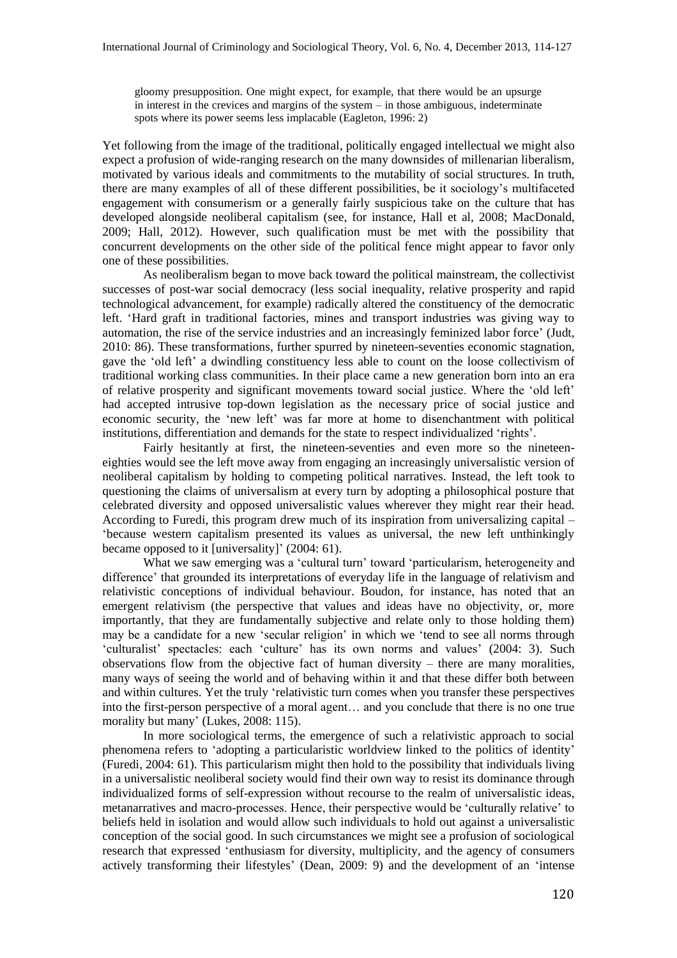gloomy presupposition. One might expect, for example, that there would be an upsurge in interest in the crevices and margins of the system – in those ambiguous, indeterminate spots where its power seems less implacable (Eagleton, 1996: 2)

Yet following from the image of the traditional, politically engaged intellectual we might also expect a profusion of wide-ranging research on the many downsides of millenarian liberalism, motivated by various ideals and commitments to the mutability of social structures. In truth, there are many examples of all of these different possibilities, be it sociology's multifaceted engagement with consumerism or a generally fairly suspicious take on the culture that has developed alongside neoliberal capitalism (see, for instance, Hall et al, 2008; MacDonald, 2009; Hall, 2012). However, such qualification must be met with the possibility that concurrent developments on the other side of the political fence might appear to favor only one of these possibilities.

As neoliberalism began to move back toward the political mainstream, the collectivist successes of post-war social democracy (less social inequality, relative prosperity and rapid technological advancement, for example) radically altered the constituency of the democratic left. 'Hard graft in traditional factories, mines and transport industries was giving way to automation, the rise of the service industries and an increasingly feminized labor force' (Judt, 2010: 86). These transformations, further spurred by nineteen-seventies economic stagnation, gave the 'old left' a dwindling constituency less able to count on the loose collectivism of traditional working class communities. In their place came a new generation born into an era of relative prosperity and significant movements toward social justice. Where the 'old left' had accepted intrusive top-down legislation as the necessary price of social justice and economic security, the 'new left' was far more at home to disenchantment with political institutions, differentiation and demands for the state to respect individualized 'rights'.

Fairly hesitantly at first, the nineteen-seventies and even more so the nineteeneighties would see the left move away from engaging an increasingly universalistic version of neoliberal capitalism by holding to competing political narratives. Instead, the left took to questioning the claims of universalism at every turn by adopting a philosophical posture that celebrated diversity and opposed universalistic values wherever they might rear their head. According to Furedi, this program drew much of its inspiration from universalizing capital – 'because western capitalism presented its values as universal, the new left unthinkingly became opposed to it [universality]' (2004: 61).

What we saw emerging was a 'cultural turn' toward 'particularism, heterogeneity and difference' that grounded its interpretations of everyday life in the language of relativism and relativistic conceptions of individual behaviour. Boudon, for instance, has noted that an emergent relativism (the perspective that values and ideas have no objectivity, or, more importantly, that they are fundamentally subjective and relate only to those holding them) may be a candidate for a new 'secular religion' in which we 'tend to see all norms through 'culturalist' spectacles: each 'culture' has its own norms and values' (2004: 3). Such observations flow from the objective fact of human diversity – there are many moralities, many ways of seeing the world and of behaving within it and that these differ both between and within cultures. Yet the truly 'relativistic turn comes when you transfer these perspectives into the first-person perspective of a moral agent… and you conclude that there is no one true morality but many' (Lukes, 2008: 115).

In more sociological terms, the emergence of such a relativistic approach to social phenomena refers to 'adopting a particularistic worldview linked to the politics of identity' (Furedi, 2004: 61). This particularism might then hold to the possibility that individuals living in a universalistic neoliberal society would find their own way to resist its dominance through individualized forms of self-expression without recourse to the realm of universalistic ideas, metanarratives and macro-processes. Hence, their perspective would be 'culturally relative' to beliefs held in isolation and would allow such individuals to hold out against a universalistic conception of the social good. In such circumstances we might see a profusion of sociological research that expressed 'enthusiasm for diversity, multiplicity, and the agency of consumers actively transforming their lifestyles' (Dean, 2009: 9) and the development of an 'intense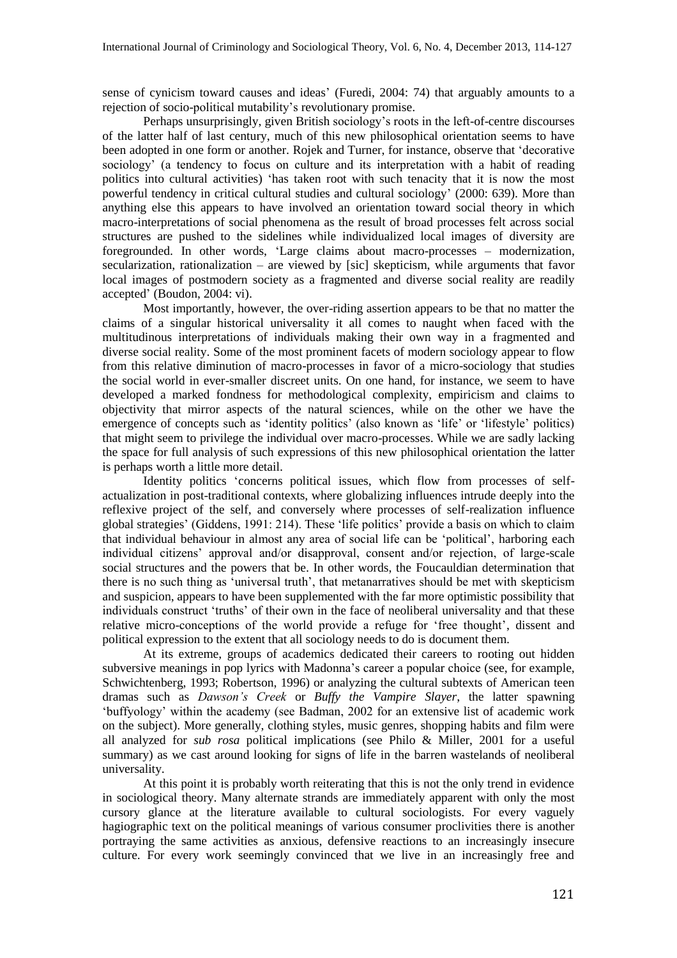sense of cynicism toward causes and ideas' (Furedi, 2004: 74) that arguably amounts to a rejection of socio-political mutability's revolutionary promise.

Perhaps unsurprisingly, given British sociology's roots in the left-of-centre discourses of the latter half of last century, much of this new philosophical orientation seems to have been adopted in one form or another. Rojek and Turner, for instance, observe that 'decorative sociology' (a tendency to focus on culture and its interpretation with a habit of reading politics into cultural activities) 'has taken root with such tenacity that it is now the most powerful tendency in critical cultural studies and cultural sociology' (2000: 639). More than anything else this appears to have involved an orientation toward social theory in which macro-interpretations of social phenomena as the result of broad processes felt across social structures are pushed to the sidelines while individualized local images of diversity are foregrounded. In other words, 'Large claims about macro-processes – modernization, secularization, rationalization – are viewed by [sic] skepticism, while arguments that favor local images of postmodern society as a fragmented and diverse social reality are readily accepted' (Boudon, 2004: vi).

Most importantly, however, the over-riding assertion appears to be that no matter the claims of a singular historical universality it all comes to naught when faced with the multitudinous interpretations of individuals making their own way in a fragmented and diverse social reality. Some of the most prominent facets of modern sociology appear to flow from this relative diminution of macro-processes in favor of a micro-sociology that studies the social world in ever-smaller discreet units. On one hand, for instance, we seem to have developed a marked fondness for methodological complexity, empiricism and claims to objectivity that mirror aspects of the natural sciences, while on the other we have the emergence of concepts such as 'identity politics' (also known as 'life' or 'lifestyle' politics) that might seem to privilege the individual over macro-processes. While we are sadly lacking the space for full analysis of such expressions of this new philosophical orientation the latter is perhaps worth a little more detail.

Identity politics 'concerns political issues, which flow from processes of selfactualization in post-traditional contexts, where globalizing influences intrude deeply into the reflexive project of the self, and conversely where processes of self-realization influence global strategies' (Giddens, 1991: 214). These 'life politics' provide a basis on which to claim that individual behaviour in almost any area of social life can be 'political', harboring each individual citizens' approval and/or disapproval, consent and/or rejection, of large-scale social structures and the powers that be. In other words, the Foucauldian determination that there is no such thing as 'universal truth', that metanarratives should be met with skepticism and suspicion, appears to have been supplemented with the far more optimistic possibility that individuals construct 'truths' of their own in the face of neoliberal universality and that these relative micro-conceptions of the world provide a refuge for 'free thought', dissent and political expression to the extent that all sociology needs to do is document them.

At its extreme, groups of academics dedicated their careers to rooting out hidden subversive meanings in pop lyrics with Madonna's career a popular choice (see, for example, Schwichtenberg, 1993; Robertson, 1996) or analyzing the cultural subtexts of American teen dramas such as *Dawson's Creek* or *Buffy the Vampire Slayer*, the latter spawning 'buffyology' within the academy (see Badman, 2002 for an extensive list of academic work on the subject). More generally, clothing styles, music genres, shopping habits and film were all analyzed for *sub rosa* political implications (see Philo & Miller, 2001 for a useful summary) as we cast around looking for signs of life in the barren wastelands of neoliberal universality.

At this point it is probably worth reiterating that this is not the only trend in evidence in sociological theory. Many alternate strands are immediately apparent with only the most cursory glance at the literature available to cultural sociologists. For every vaguely hagiographic text on the political meanings of various consumer proclivities there is another portraying the same activities as anxious, defensive reactions to an increasingly insecure culture. For every work seemingly convinced that we live in an increasingly free and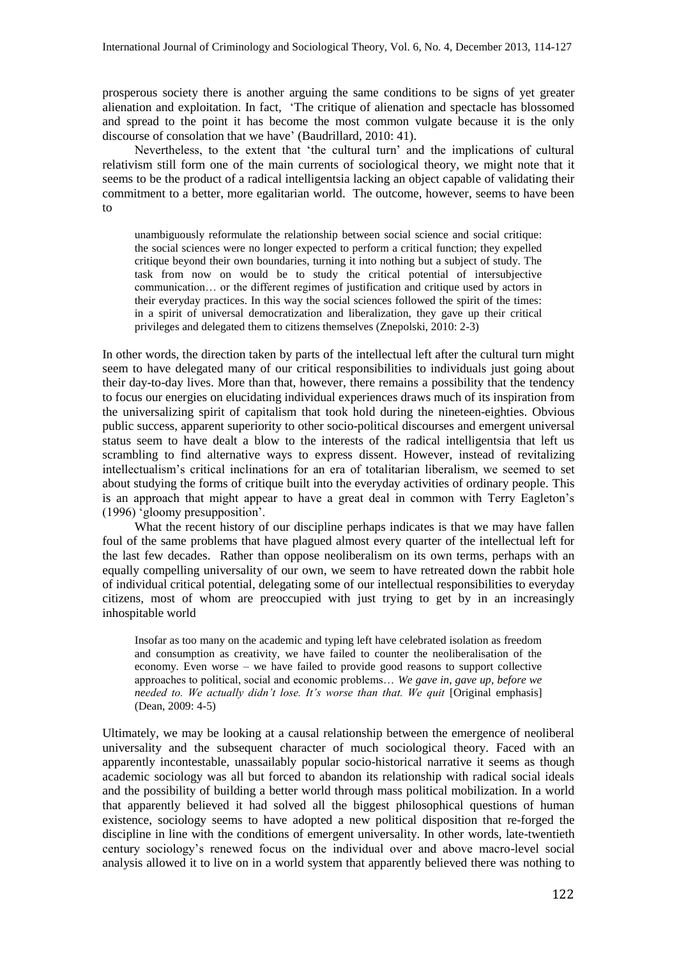prosperous society there is another arguing the same conditions to be signs of yet greater alienation and exploitation. In fact, 'The critique of alienation and spectacle has blossomed and spread to the point it has become the most common vulgate because it is the only discourse of consolation that we have' (Baudrillard, 2010: 41).

Nevertheless, to the extent that 'the cultural turn' and the implications of cultural relativism still form one of the main currents of sociological theory, we might note that it seems to be the product of a radical intelligentsia lacking an object capable of validating their commitment to a better, more egalitarian world. The outcome, however, seems to have been to

unambiguously reformulate the relationship between social science and social critique: the social sciences were no longer expected to perform a critical function; they expelled critique beyond their own boundaries, turning it into nothing but a subject of study. The task from now on would be to study the critical potential of intersubjective communication… or the different regimes of justification and critique used by actors in their everyday practices. In this way the social sciences followed the spirit of the times: in a spirit of universal democratization and liberalization, they gave up their critical privileges and delegated them to citizens themselves (Znepolski, 2010: 2-3)

In other words, the direction taken by parts of the intellectual left after the cultural turn might seem to have delegated many of our critical responsibilities to individuals just going about their day-to-day lives. More than that, however, there remains a possibility that the tendency to focus our energies on elucidating individual experiences draws much of its inspiration from the universalizing spirit of capitalism that took hold during the nineteen-eighties. Obvious public success, apparent superiority to other socio-political discourses and emergent universal status seem to have dealt a blow to the interests of the radical intelligentsia that left us scrambling to find alternative ways to express dissent. However, instead of revitalizing intellectualism's critical inclinations for an era of totalitarian liberalism, we seemed to set about studying the forms of critique built into the everyday activities of ordinary people. This is an approach that might appear to have a great deal in common with Terry Eagleton's (1996) 'gloomy presupposition'.

What the recent history of our discipline perhaps indicates is that we may have fallen foul of the same problems that have plagued almost every quarter of the intellectual left for the last few decades. Rather than oppose neoliberalism on its own terms, perhaps with an equally compelling universality of our own, we seem to have retreated down the rabbit hole of individual critical potential, delegating some of our intellectual responsibilities to everyday citizens, most of whom are preoccupied with just trying to get by in an increasingly inhospitable world

Insofar as too many on the academic and typing left have celebrated isolation as freedom and consumption as creativity, we have failed to counter the neoliberalisation of the economy. Even worse – we have failed to provide good reasons to support collective approaches to political, social and economic problems… *We gave in, gave up, before we needed to. We actually didn't lose. It's worse than that. We quit* [Original emphasis] (Dean, 2009: 4-5)

Ultimately, we may be looking at a causal relationship between the emergence of neoliberal universality and the subsequent character of much sociological theory. Faced with an apparently incontestable, unassailably popular socio-historical narrative it seems as though academic sociology was all but forced to abandon its relationship with radical social ideals and the possibility of building a better world through mass political mobilization. In a world that apparently believed it had solved all the biggest philosophical questions of human existence, sociology seems to have adopted a new political disposition that re-forged the discipline in line with the conditions of emergent universality. In other words, late-twentieth century sociology's renewed focus on the individual over and above macro-level social analysis allowed it to live on in a world system that apparently believed there was nothing to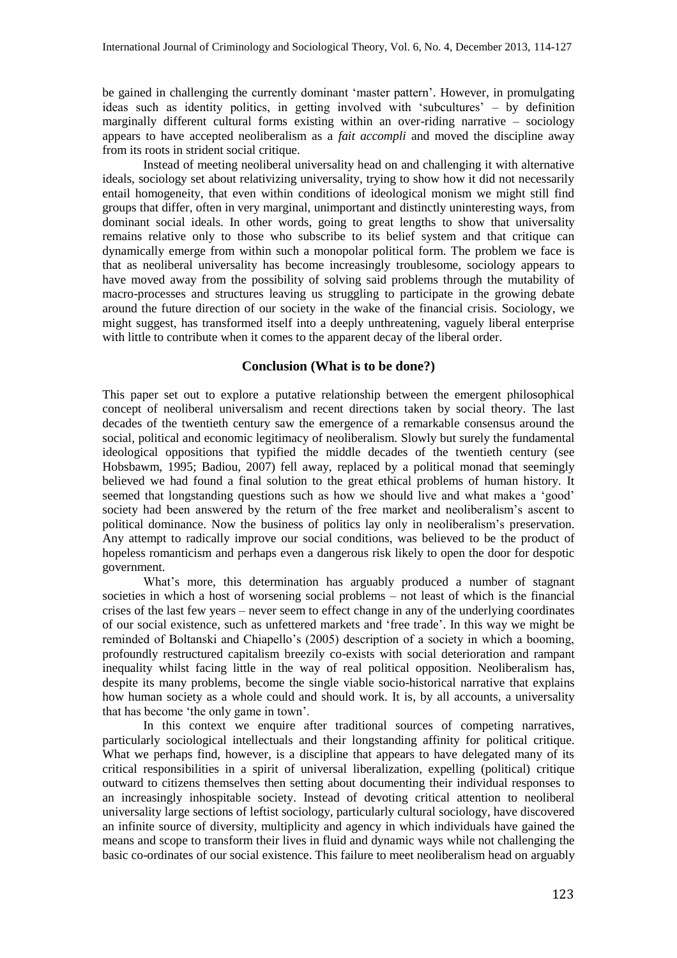be gained in challenging the currently dominant 'master pattern'. However, in promulgating ideas such as identity politics, in getting involved with 'subcultures' – by definition marginally different cultural forms existing within an over-riding narrative – sociology appears to have accepted neoliberalism as a *fait accompli* and moved the discipline away from its roots in strident social critique.

Instead of meeting neoliberal universality head on and challenging it with alternative ideals, sociology set about relativizing universality, trying to show how it did not necessarily entail homogeneity, that even within conditions of ideological monism we might still find groups that differ, often in very marginal, unimportant and distinctly uninteresting ways, from dominant social ideals. In other words, going to great lengths to show that universality remains relative only to those who subscribe to its belief system and that critique can dynamically emerge from within such a monopolar political form. The problem we face is that as neoliberal universality has become increasingly troublesome, sociology appears to have moved away from the possibility of solving said problems through the mutability of macro-processes and structures leaving us struggling to participate in the growing debate around the future direction of our society in the wake of the financial crisis. Sociology, we might suggest, has transformed itself into a deeply unthreatening, vaguely liberal enterprise with little to contribute when it comes to the apparent decay of the liberal order.

## **Conclusion (What is to be done?)**

This paper set out to explore a putative relationship between the emergent philosophical concept of neoliberal universalism and recent directions taken by social theory. The last decades of the twentieth century saw the emergence of a remarkable consensus around the social, political and economic legitimacy of neoliberalism. Slowly but surely the fundamental ideological oppositions that typified the middle decades of the twentieth century (see Hobsbawm, 1995; Badiou, 2007) fell away, replaced by a political monad that seemingly believed we had found a final solution to the great ethical problems of human history. It seemed that longstanding questions such as how we should live and what makes a 'good' society had been answered by the return of the free market and neoliberalism's ascent to political dominance. Now the business of politics lay only in neoliberalism's preservation. Any attempt to radically improve our social conditions, was believed to be the product of hopeless romanticism and perhaps even a dangerous risk likely to open the door for despotic government.

What's more, this determination has arguably produced a number of stagnant societies in which a host of worsening social problems – not least of which is the financial crises of the last few years – never seem to effect change in any of the underlying coordinates of our social existence, such as unfettered markets and 'free trade'. In this way we might be reminded of Boltanski and Chiapello's (2005) description of a society in which a booming, profoundly restructured capitalism breezily co-exists with social deterioration and rampant inequality whilst facing little in the way of real political opposition. Neoliberalism has, despite its many problems, become the single viable socio-historical narrative that explains how human society as a whole could and should work. It is, by all accounts, a universality that has become 'the only game in town'.

In this context we enquire after traditional sources of competing narratives, particularly sociological intellectuals and their longstanding affinity for political critique. What we perhaps find, however, is a discipline that appears to have delegated many of its critical responsibilities in a spirit of universal liberalization, expelling (political) critique outward to citizens themselves then setting about documenting their individual responses to an increasingly inhospitable society. Instead of devoting critical attention to neoliberal universality large sections of leftist sociology, particularly cultural sociology, have discovered an infinite source of diversity, multiplicity and agency in which individuals have gained the means and scope to transform their lives in fluid and dynamic ways while not challenging the basic co-ordinates of our social existence. This failure to meet neoliberalism head on arguably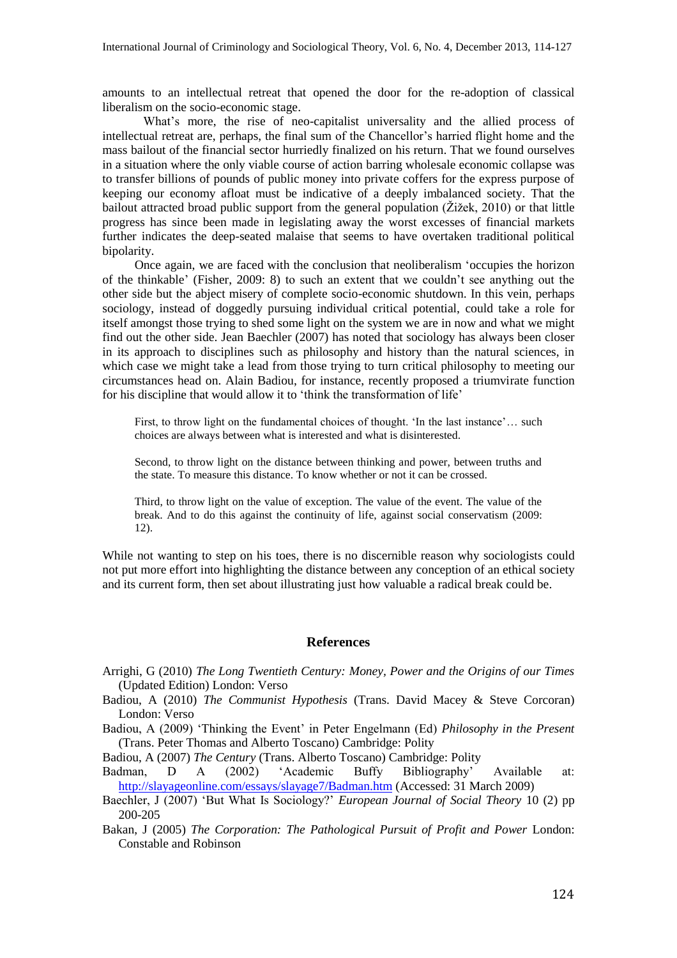amounts to an intellectual retreat that opened the door for the re-adoption of classical liberalism on the socio-economic stage.

What's more, the rise of neo-capitalist universality and the allied process of intellectual retreat are, perhaps, the final sum of the Chancellor's harried flight home and the mass bailout of the financial sector hurriedly finalized on his return. That we found ourselves in a situation where the only viable course of action barring wholesale economic collapse was to transfer billions of pounds of public money into private coffers for the express purpose of keeping our economy afloat must be indicative of a deeply imbalanced society. That the bailout attracted broad public support from the general population (Žižek, 2010) or that little progress has since been made in legislating away the worst excesses of financial markets further indicates the deep-seated malaise that seems to have overtaken traditional political bipolarity.

Once again, we are faced with the conclusion that neoliberalism 'occupies the horizon of the thinkable' (Fisher, 2009: 8) to such an extent that we couldn't see anything out the other side but the abject misery of complete socio-economic shutdown. In this vein, perhaps sociology, instead of doggedly pursuing individual critical potential, could take a role for itself amongst those trying to shed some light on the system we are in now and what we might find out the other side. Jean Baechler (2007) has noted that sociology has always been closer in its approach to disciplines such as philosophy and history than the natural sciences, in which case we might take a lead from those trying to turn critical philosophy to meeting our circumstances head on. Alain Badiou, for instance, recently proposed a triumvirate function for his discipline that would allow it to 'think the transformation of life'

First, to throw light on the fundamental choices of thought. 'In the last instance'… such choices are always between what is interested and what is disinterested.

Second, to throw light on the distance between thinking and power, between truths and the state. To measure this distance. To know whether or not it can be crossed.

Third, to throw light on the value of exception. The value of the event. The value of the break. And to do this against the continuity of life, against social conservatism (2009: 12).

While not wanting to step on his toes, there is no discernible reason why sociologists could not put more effort into highlighting the distance between any conception of an ethical society and its current form, then set about illustrating just how valuable a radical break could be.

## **References**

- Arrighi, G (2010) *The Long Twentieth Century: Money, Power and the Origins of our Times* (Updated Edition) London: Verso
- Badiou, A (2010) *The Communist Hypothesis* (Trans. David Macey & Steve Corcoran) London: Verso
- Badiou, A (2009) 'Thinking the Event' in Peter Engelmann (Ed) *Philosophy in the Present* (Trans. Peter Thomas and Alberto Toscano) Cambridge: Polity

Badiou, A (2007) *The Century* (Trans. Alberto Toscano) Cambridge: Polity

- Badman, D A (2002) 'Academic Buffy Bibliography' Available at: <http://slayageonline.com/essays/slayage7/Badman.htm> (Accessed: 31 March 2009)
- Baechler, J (2007) 'But What Is Sociology?' *European Journal of Social Theory* 10 (2) pp 200-205
- Bakan, J (2005) *The Corporation: The Pathological Pursuit of Profit and Power* London: Constable and Robinson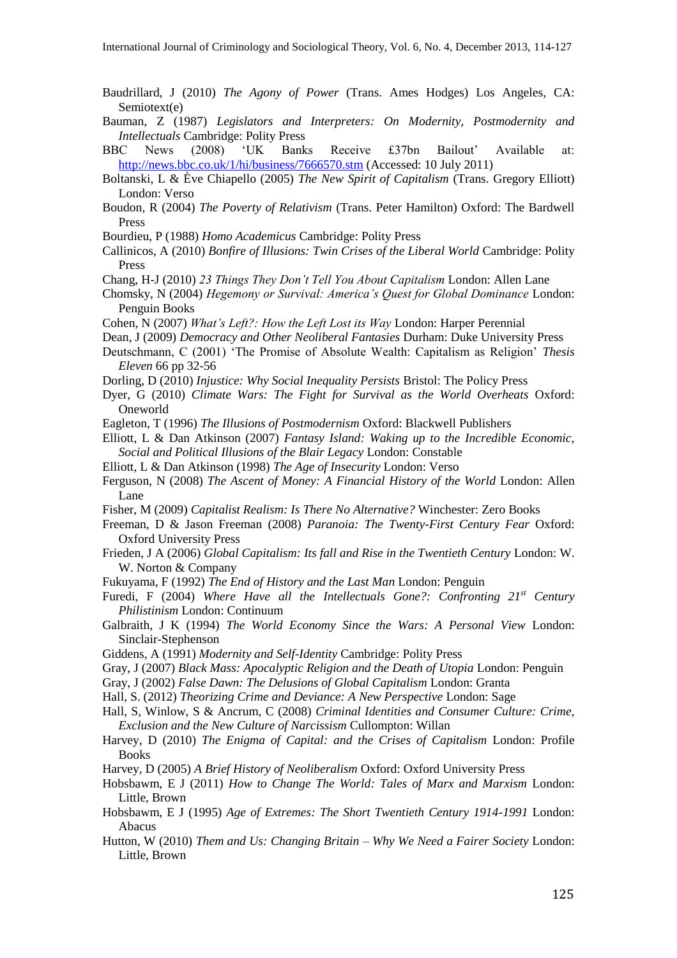- Baudrillard, J (2010) *The Agony of Power* (Trans. Ames Hodges) Los Angeles, CA: Semiotext(e)
- Bauman, Z (1987) *Legislators and Interpreters: On Modernity, Postmodernity and Intellectuals* Cambridge: Polity Press
- BBC News (2008) 'UK Banks Receive £37bn Bailout' Available at: <http://news.bbc.co.uk/1/hi/business/7666570.stm> (Accessed: 10 July 2011)
- Boltanski, L & Ève Chiapello (2005) *The New Spirit of Capitalism* (Trans. Gregory Elliott) London: Verso
- Boudon, R (2004) *The Poverty of Relativism* (Trans. Peter Hamilton) Oxford: The Bardwell Press
- Bourdieu, P (1988) *Homo Academicus* Cambridge: Polity Press
- Callinicos, A (2010) *Bonfire of Illusions: Twin Crises of the Liberal World* Cambridge: Polity Press
- Chang, H-J (2010) *23 Things They Don't Tell You About Capitalism* London: Allen Lane
- Chomsky, N (2004) *Hegemony or Survival: America's Quest for Global Dominance* London: Penguin Books
- Cohen, N (2007) *What's Left?: How the Left Lost its Way* London: Harper Perennial
- Dean, J (2009) *Democracy and Other Neoliberal Fantasies* Durham: Duke University Press
- Deutschmann, C (2001) 'The Promise of Absolute Wealth: Capitalism as Religion' *Thesis Eleven* 66 pp 32-56
- Dorling, D (2010) *Injustice: Why Social Inequality Persists* Bristol: The Policy Press
- Dyer, G (2010) *Climate Wars: The Fight for Survival as the World Overheats* Oxford: Oneworld
- Eagleton, T (1996) *The Illusions of Postmodernism* Oxford: Blackwell Publishers
- Elliott, L & Dan Atkinson (2007) *Fantasy Island: Waking up to the Incredible Economic, Social and Political Illusions of the Blair Legacy* London: Constable
- Elliott, L & Dan Atkinson (1998) *The Age of Insecurity* London: Verso
- Ferguson, N (2008) *The Ascent of Money: A Financial History of the World* London: Allen Lane
- Fisher, M (2009) *Capitalist Realism: Is There No Alternative?* Winchester: Zero Books
- Freeman, D & Jason Freeman (2008) *Paranoia: The Twenty-First Century Fear* Oxford: Oxford University Press
- Frieden, J A (2006) *Global Capitalism: Its fall and Rise in the Twentieth Century* London: W. W. Norton & Company
- Fukuyama, F (1992) *The End of History and the Last Man* London: Penguin
- Furedi, F (2004) *Where Have all the Intellectuals Gone?: Confronting 21st Century Philistinism* London: Continuum
- Galbraith, J K (1994) *The World Economy Since the Wars: A Personal View* London: Sinclair-Stephenson
- Giddens, A (1991) *Modernity and Self-Identity* Cambridge: Polity Press
- Gray, J (2007) *Black Mass: Apocalyptic Religion and the Death of Utopia* London: Penguin
- Gray, J (2002) *False Dawn: The Delusions of Global Capitalism* London: Granta
- Hall, S. (2012) *Theorizing Crime and Deviance: A New Perspective* London: Sage
- Hall, S, Winlow, S & Ancrum, C (2008) *Criminal Identities and Consumer Culture: Crime, Exclusion and the New Culture of Narcissism* Cullompton: Willan
- Harvey, D (2010) *The Enigma of Capital: and the Crises of Capitalism* London: Profile Books
- Harvey, D (2005) *A Brief History of Neoliberalism* Oxford: Oxford University Press
- Hobsbawm, E J (2011) *How to Change The World: Tales of Marx and Marxism* London: Little, Brown
- Hobsbawm, E J (1995) *Age of Extremes: The Short Twentieth Century 1914-1991* London: Abacus
- Hutton, W (2010) *Them and Us: Changing Britain – Why We Need a Fairer Society* London: Little, Brown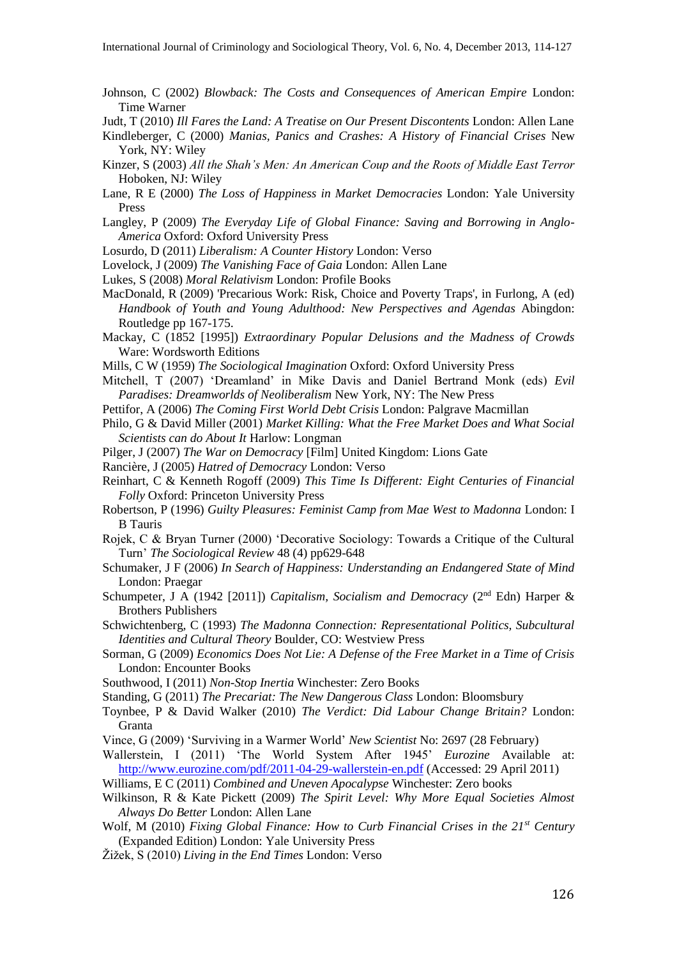Johnson, C (2002) *Blowback: The Costs and Consequences of American Empire* London: Time Warner

Judt, T (2010) *Ill Fares the Land: A Treatise on Our Present Discontents* London: Allen Lane

- Kindleberger, C (2000) *Manias, Panics and Crashes: A History of Financial Crises* New York, NY: Wiley
- Kinzer, S (2003) *All the Shah's Men: An American Coup and the Roots of Middle East Terror* Hoboken, NJ: Wiley
- Lane, R E (2000) *The Loss of Happiness in Market Democracies* London: Yale University Press
- Langley, P (2009) *The Everyday Life of Global Finance: Saving and Borrowing in Anglo-America* Oxford: Oxford University Press
- Losurdo, D (2011) *Liberalism: A Counter History* London: Verso

Lovelock, J (2009) *The Vanishing Face of Gaia* London: Allen Lane

- Lukes, S (2008) *Moral Relativism* London: Profile Books
- MacDonald, R (2009) 'Precarious Work: Risk, Choice and Poverty Traps', in Furlong, A (ed) *Handbook of Youth and Young Adulthood: New Perspectives and Agendas* Abingdon: Routledge pp 167-175.
- Mackay, C (1852 [1995]) *Extraordinary Popular Delusions and the Madness of Crowds* Ware: Wordsworth Editions
- Mills, C W (1959) *The Sociological Imagination* Oxford: Oxford University Press
- Mitchell, T (2007) 'Dreamland' in Mike Davis and Daniel Bertrand Monk (eds) *Evil Paradises: Dreamworlds of Neoliberalism* New York, NY: The New Press
- Pettifor, A (2006) *The Coming First World Debt Crisis* London: Palgrave Macmillan
- Philo, G & David Miller (2001) *Market Killing: What the Free Market Does and What Social Scientists can do About It* Harlow: Longman
- Pilger, J (2007) *The War on Democracy* [Film] United Kingdom: Lions Gate
- Rancière, J (2005) *Hatred of Democracy* London: Verso
- Reinhart, C & Kenneth Rogoff (2009) *This Time Is Different: Eight Centuries of Financial Folly* Oxford: Princeton University Press
- Robertson, P (1996) *Guilty Pleasures: Feminist Camp from Mae West to Madonna* London: I B Tauris
- Rojek, C & Bryan Turner (2000) 'Decorative Sociology: Towards a Critique of the Cultural Turn' *The Sociological Review* 48 (4) pp629-648
- Schumaker, J F (2006) *In Search of Happiness: Understanding an Endangered State of Mind* London: Praegar
- Schumpeter, J A (1942 [2011]) *Capitalism, Socialism and Democracy* (2nd Edn) Harper & Brothers Publishers
- Schwichtenberg, C (1993) *The Madonna Connection: Representational Politics, Subcultural Identities and Cultural Theory* Boulder, CO: Westview Press
- Sorman, G (2009) *Economics Does Not Lie: A Defense of the Free Market in a Time of Crisis* London: Encounter Books
- Southwood, I (2011) *Non-Stop Inertia* Winchester: Zero Books
- Standing, G (2011) *The Precariat: The New Dangerous Class* London: Bloomsbury
- Toynbee, P & David Walker (2010) *The Verdict: Did Labour Change Britain?* London: Granta
- Vince, G (2009) 'Surviving in a Warmer World' *New Scientist* No: 2697 (28 February)
- Wallerstein, I (2011) 'The World System After 1945' *Eurozine* Available at: <http://www.eurozine.com/pdf/2011-04-29-wallerstein-en.pdf> (Accessed: 29 April 2011)
- Williams, E C (2011) *Combined and Uneven Apocalypse* Winchester: Zero books
- Wilkinson, R & Kate Pickett (2009) *The Spirit Level: Why More Equal Societies Almost Always Do Better* London: Allen Lane
- Wolf, M (2010) *Fixing Global Finance: How to Curb Financial Crises in the 21st Century* (Expanded Edition) London: Yale University Press
- Žižek, S (2010) *Living in the End Times* London: Verso